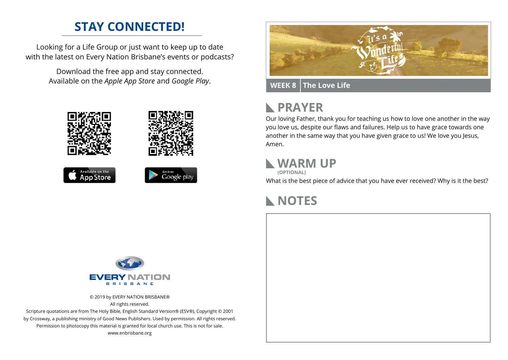## **STAY CONNECTED!**

Looking for a Life Group or just want to keep up to date with the latest on Every Nation Brisbane's events or podcasts?

> Download the free app and stay connected. Available on the *Apple App Store* and *Google Play*.











#### **WEEK 8 The Love Life**

# **RAYER**

Our loving Father, thank you for teaching us how to love one another in the way you love us, despite our flaws and failures. Help us to have grace towards one another in the same way that you have given grace to us! We love you Jesus, Amen.

#### **WARM UP**



What is the best piece of advice that you have ever received? Why is it the best?

### **NOTES**



© 2019 by EVERY NATION BRISBANE® All rights reserved.

Scripture quotations are from The Holy Bible, English Standard Version® (ESV®), Copyright © 2001 by Crossway, a publishing ministry of Good News Publishers. Used by permission. All rights reserved. Permission to photocopy this material is granted for local church use. This is not for sale. www.enbrisbane.org